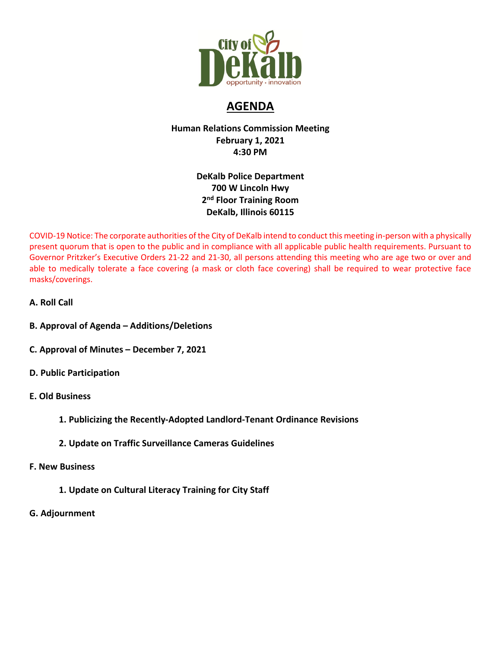

# **AGENDA**

## **Human Relations Commission Meeting February 1, 2021 4:30 PM**

# **DeKalb Police Department 700 W Lincoln Hwy 2nd Floor Training Room DeKalb, Illinois 60115**

COVID-19 Notice: The corporate authorities of the City of DeKalb intend to conduct this meeting in-person with a physically present quorum that is open to the public and in compliance with all applicable public health requirements. Pursuant to Governor Pritzker's Executive Orders 21-22 and 21-30, all persons attending this meeting who are age two or over and able to medically tolerate a face covering (a mask or cloth face covering) shall be required to wear protective face masks/coverings.

## **A. Roll Call**

- **B. Approval of Agenda – Additions/Deletions**
- **C. Approval of Minutes – December 7, 2021**
- **D. Public Participation**
- **E. Old Business** 
	- **1. Publicizing the Recently-Adopted Landlord-Tenant Ordinance Revisions**
	- **2. Update on Traffic Surveillance Cameras Guidelines**
- **F. New Business** 
	- **1. Update on Cultural Literacy Training for City Staff**
- **G. Adjournment**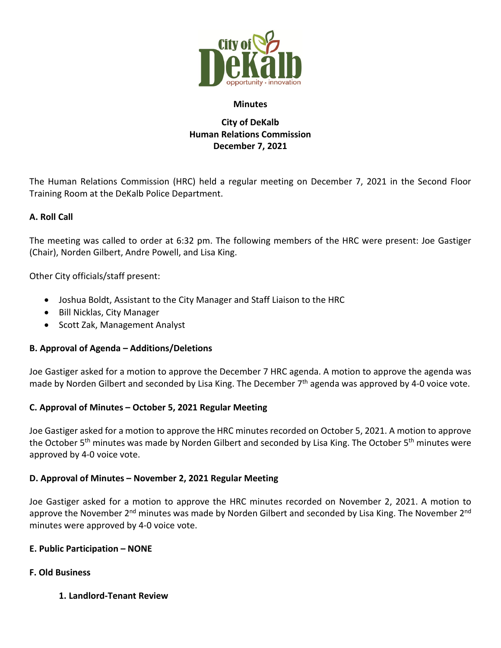

#### **Minutes**

## **City of DeKalb Human Relations Commission December 7, 2021**

The Human Relations Commission (HRC) held a regular meeting on December 7, 2021 in the Second Floor Training Room at the DeKalb Police Department.

### **A. Roll Call**

The meeting was called to order at 6:32 pm. The following members of the HRC were present: Joe Gastiger (Chair), Norden Gilbert, Andre Powell, and Lisa King.

Other City officials/staff present:

- Joshua Boldt, Assistant to the City Manager and Staff Liaison to the HRC
- Bill Nicklas, City Manager
- Scott Zak, Management Analyst

## **B. Approval of Agenda – Additions/Deletions**

Joe Gastiger asked for a motion to approve the December 7 HRC agenda. A motion to approve the agenda was made by Norden Gilbert and seconded by Lisa King. The December 7<sup>th</sup> agenda was approved by 4-0 voice vote.

## **C. Approval of Minutes – October 5, 2021 Regular Meeting**

Joe Gastiger asked for a motion to approve the HRC minutes recorded on October 5, 2021. A motion to approve the October 5<sup>th</sup> minutes was made by Norden Gilbert and seconded by Lisa King. The October 5<sup>th</sup> minutes were approved by 4-0 voice vote.

#### **D. Approval of Minutes – November 2, 2021 Regular Meeting**

Joe Gastiger asked for a motion to approve the HRC minutes recorded on November 2, 2021. A motion to approve the November 2<sup>nd</sup> minutes was made by Norden Gilbert and seconded by Lisa King. The November 2<sup>nd</sup> minutes were approved by 4-0 voice vote.

#### **E. Public Participation – NONE**

#### **F. Old Business**

**1. Landlord-Tenant Review**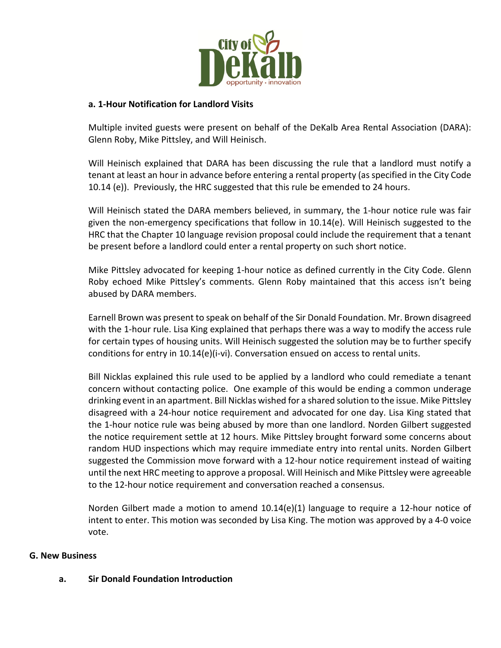

### **a. 1-Hour Notification for Landlord Visits**

Multiple invited guests were present on behalf of the DeKalb Area Rental Association (DARA): Glenn Roby, Mike Pittsley, and Will Heinisch.

Will Heinisch explained that DARA has been discussing the rule that a landlord must notify a tenant at least an hour in advance before entering a rental property (as specified in the City Code 10.14 (e)). Previously, the HRC suggested that this rule be emended to 24 hours.

Will Heinisch stated the DARA members believed, in summary, the 1-hour notice rule was fair given the non-emergency specifications that follow in 10.14(e). Will Heinisch suggested to the HRC that the Chapter 10 language revision proposal could include the requirement that a tenant be present before a landlord could enter a rental property on such short notice.

Mike Pittsley advocated for keeping 1-hour notice as defined currently in the City Code. Glenn Roby echoed Mike Pittsley's comments. Glenn Roby maintained that this access isn't being abused by DARA members.

Earnell Brown was present to speak on behalf of the Sir Donald Foundation. Mr. Brown disagreed with the 1-hour rule. Lisa King explained that perhaps there was a way to modify the access rule for certain types of housing units. Will Heinisch suggested the solution may be to further specify conditions for entry in 10.14(e)(i-vi). Conversation ensued on access to rental units.

Bill Nicklas explained this rule used to be applied by a landlord who could remediate a tenant concern without contacting police. One example of this would be ending a common underage drinking event in an apartment. Bill Nicklas wished for a shared solution to the issue. Mike Pittsley disagreed with a 24-hour notice requirement and advocated for one day. Lisa King stated that the 1-hour notice rule was being abused by more than one landlord. Norden Gilbert suggested the notice requirement settle at 12 hours. Mike Pittsley brought forward some concerns about random HUD inspections which may require immediate entry into rental units. Norden Gilbert suggested the Commission move forward with a 12-hour notice requirement instead of waiting until the next HRC meeting to approve a proposal. Will Heinisch and Mike Pittsley were agreeable to the 12-hour notice requirement and conversation reached a consensus.

Norden Gilbert made a motion to amend 10.14(e)(1) language to require a 12-hour notice of intent to enter. This motion was seconded by Lisa King. The motion was approved by a 4-0 voice vote.

#### **G. New Business**

#### **a. Sir Donald Foundation Introduction**